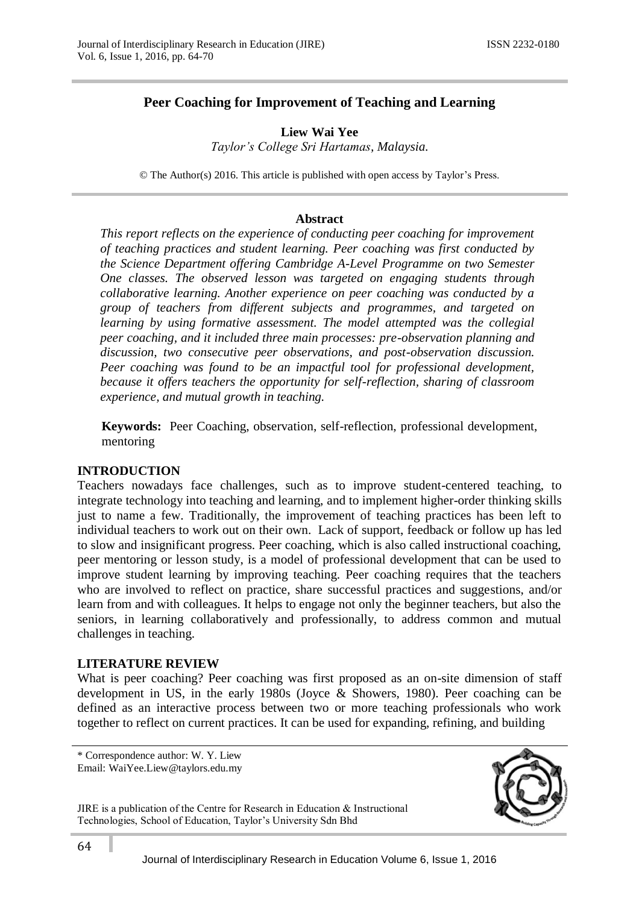# **Peer Coaching for Improvement of Teaching and Learning**

**Liew Wai Yee** *Taylor's College Sri Hartamas, Malaysia.*

© The Author(s) 2016. This article is published with open access by Taylor's Press.

### **Abstract**

*This report reflects on the experience of conducting peer coaching for improvement of teaching practices and student learning. Peer coaching was first conducted by the Science Department offering Cambridge A-Level Programme on two Semester One classes. The observed lesson was targeted on engaging students through collaborative learning. Another experience on peer coaching was conducted by a group of teachers from different subjects and programmes, and targeted on learning by using formative assessment. The model attempted was the collegial peer coaching, and it included three main processes: pre-observation planning and discussion, two consecutive peer observations, and post-observation discussion. Peer coaching was found to be an impactful tool for professional development, because it offers teachers the opportunity for self-reflection, sharing of classroom experience, and mutual growth in teaching.*

**Keywords:** Peer Coaching, observation, self-reflection, professional development, mentoring

### **INTRODUCTION**

Teachers nowadays face challenges, such as to improve student-centered teaching, to integrate technology into teaching and learning, and to implement higher-order thinking skills just to name a few. Traditionally, the improvement of teaching practices has been left to individual teachers to work out on their own. Lack of support, feedback or follow up has led to slow and insignificant progress. Peer coaching, which is also called instructional coaching, peer mentoring or lesson study, is a model of professional development that can be used to improve student learning by improving teaching. Peer coaching requires that the teachers who are involved to reflect on practice, share successful practices and suggestions, and/or learn from and with colleagues. It helps to engage not only the beginner teachers, but also the seniors, in learning collaboratively and professionally, to address common and mutual challenges in teaching.

#### **LITERATURE REVIEW**

What is peer coaching? Peer coaching was first proposed as an on-site dimension of staff development in US, in the early 1980s (Joyce & Showers, 1980). Peer coaching can be defined as an interactive process between two or more teaching professionals who work together to reflect on current practices. It can be used for expanding, refining, and building

\* Correspondence author: W. Y. Liew Email: WaiYee.Liew@taylors.edu.my



JIRE is a publication of the Centre for Research in Education & Instructional Technologies, School of Education, Taylor's University Sdn Bhd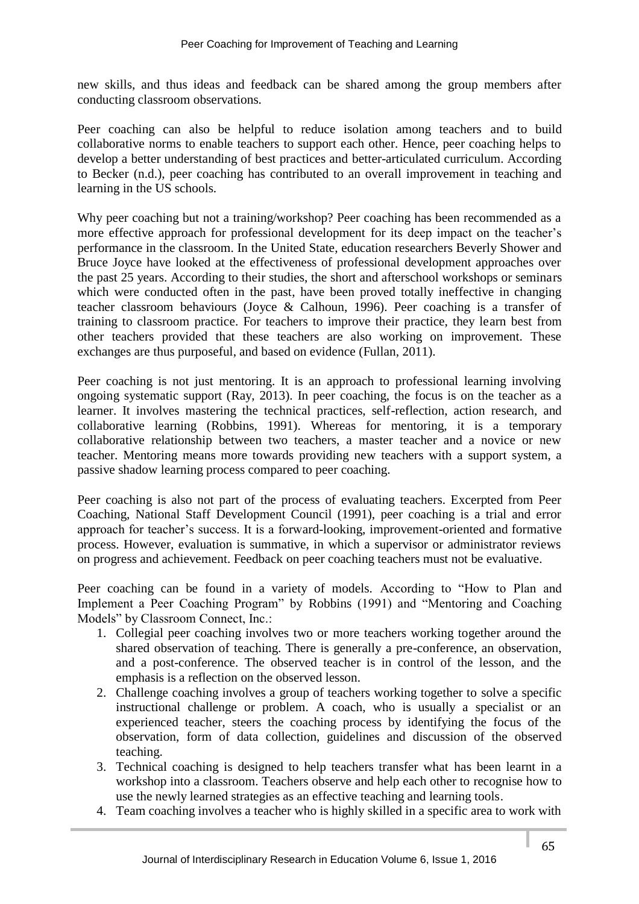new skills, and thus ideas and feedback can be shared among the group members after conducting classroom observations.

Peer coaching can also be helpful to reduce isolation among teachers and to build collaborative norms to enable teachers to support each other. Hence, peer coaching helps to develop a better understanding of best practices and better-articulated curriculum. According to Becker (n.d.), peer coaching has contributed to an overall improvement in teaching and learning in the US schools.

Why peer coaching but not a training/workshop? Peer coaching has been recommended as a more effective approach for professional development for its deep impact on the teacher's performance in the classroom. In the United State, education researchers Beverly Shower and Bruce Joyce have looked at the effectiveness of professional development approaches over the past 25 years. According to their studies, the short and afterschool workshops or seminars which were conducted often in the past, have been proved totally ineffective in changing teacher classroom behaviours (Joyce & Calhoun, 1996). Peer coaching is a transfer of training to classroom practice. For teachers to improve their practice, they learn best from other teachers provided that these teachers are also working on improvement. These exchanges are thus purposeful, and based on evidence (Fullan, 2011).

Peer coaching is not just mentoring. It is an approach to professional learning involving ongoing systematic support (Ray, 2013). In peer coaching, the focus is on the teacher as a learner. It involves mastering the technical practices, self-reflection, action research, and collaborative learning (Robbins, 1991). Whereas for mentoring, it is a temporary collaborative relationship between two teachers, a master teacher and a novice or new teacher. Mentoring means more towards providing new teachers with a support system, a passive shadow learning process compared to peer coaching.

Peer coaching is also not part of the process of evaluating teachers. Excerpted from Peer Coaching, National Staff Development Council (1991), peer coaching is a trial and error approach for teacher's success. It is a forward-looking, improvement-oriented and formative process. However, evaluation is summative, in which a supervisor or administrator reviews on progress and achievement. Feedback on peer coaching teachers must not be evaluative.

Peer coaching can be found in a variety of models. According to "How to Plan and Implement a Peer Coaching Program" by Robbins (1991) and "Mentoring and Coaching Models" by Classroom Connect, Inc.:

- 1. Collegial peer coaching involves two or more teachers working together around the shared observation of teaching. There is generally a pre-conference, an observation, and a post-conference. The observed teacher is in control of the lesson, and the emphasis is a reflection on the observed lesson.
- 2. Challenge coaching involves a group of teachers working together to solve a specific instructional challenge or problem. A coach, who is usually a specialist or an experienced teacher, steers the coaching process by identifying the focus of the observation, form of data collection, guidelines and discussion of the observed teaching.
- 3. Technical coaching is designed to help teachers transfer what has been learnt in a workshop into a classroom. Teachers observe and help each other to recognise how to use the newly learned strategies as an effective teaching and learning tools.
- 4. Team coaching involves a teacher who is highly skilled in a specific area to work with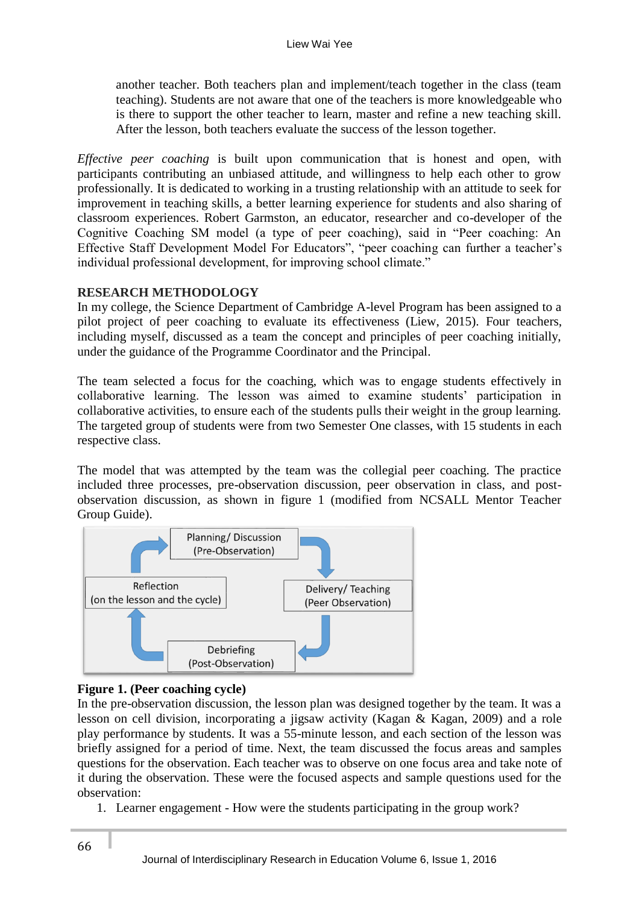another teacher. Both teachers plan and implement/teach together in the class (team teaching). Students are not aware that one of the teachers is more knowledgeable who is there to support the other teacher to learn, master and refine a new teaching skill. After the lesson, both teachers evaluate the success of the lesson together.

*Effective peer coaching* is built upon communication that is honest and open, with participants contributing an unbiased attitude, and willingness to help each other to grow professionally. It is dedicated to working in a trusting relationship with an attitude to seek for improvement in teaching skills, a better learning experience for students and also sharing of classroom experiences. Robert Garmston, an educator, researcher and co-developer of the Cognitive Coaching SM model (a type of peer coaching), said in "Peer coaching: An Effective Staff Development Model For Educators", "peer coaching can further a teacher's individual professional development, for improving school climate."

# **RESEARCH METHODOLOGY**

In my college, the Science Department of Cambridge A-level Program has been assigned to a pilot project of peer coaching to evaluate its effectiveness (Liew, 2015). Four teachers, including myself, discussed as a team the concept and principles of peer coaching initially, under the guidance of the Programme Coordinator and the Principal.

The team selected a focus for the coaching, which was to engage students effectively in collaborative learning. The lesson was aimed to examine students' participation in collaborative activities, to ensure each of the students pulls their weight in the group learning. The targeted group of students were from two Semester One classes, with 15 students in each respective class.

The model that was attempted by the team was the collegial peer coaching. The practice included three processes, pre-observation discussion, peer observation in class, and postobservation discussion, as shown in figure 1 (modified from NCSALL Mentor Teacher Group Guide).



### **Figure 1. (Peer coaching cycle)**

In the pre-observation discussion, the lesson plan was designed together by the team. It was a lesson on cell division, incorporating a jigsaw activity (Kagan & Kagan, 2009) and a role play performance by students. It was a 55-minute lesson, and each section of the lesson was briefly assigned for a period of time. Next, the team discussed the focus areas and samples questions for the observation. Each teacher was to observe on one focus area and take note of it during the observation. These were the focused aspects and sample questions used for the observation:

1. Learner engagement - How were the students participating in the group work?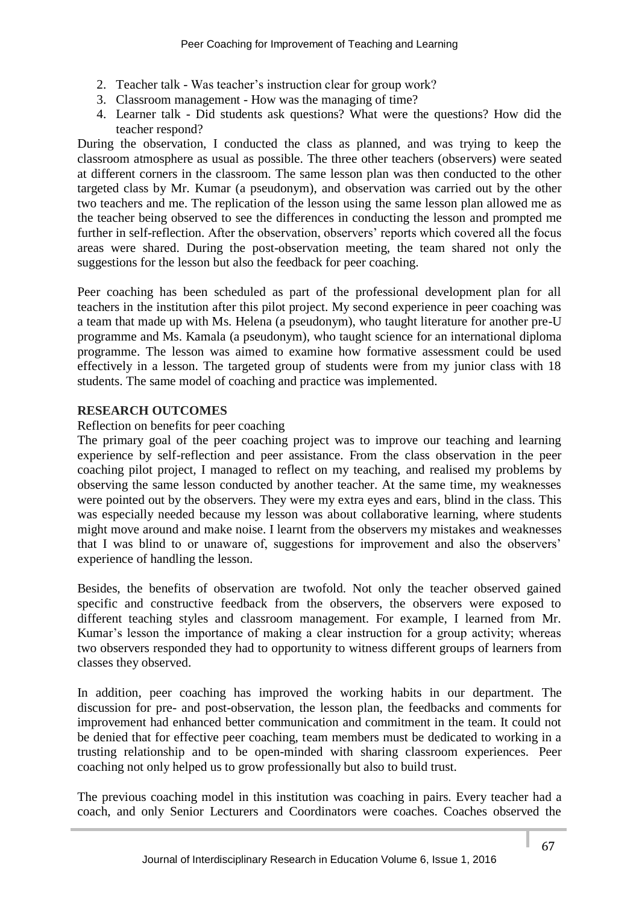- 2. Teacher talk Was teacher's instruction clear for group work?
- 3. Classroom management How was the managing of time?
- 4. Learner talk Did students ask questions? What were the questions? How did the teacher respond?

During the observation, I conducted the class as planned, and was trying to keep the classroom atmosphere as usual as possible. The three other teachers (observers) were seated at different corners in the classroom. The same lesson plan was then conducted to the other targeted class by Mr. Kumar (a pseudonym), and observation was carried out by the other two teachers and me. The replication of the lesson using the same lesson plan allowed me as the teacher being observed to see the differences in conducting the lesson and prompted me further in self-reflection. After the observation, observers' reports which covered all the focus areas were shared. During the post-observation meeting, the team shared not only the suggestions for the lesson but also the feedback for peer coaching.

Peer coaching has been scheduled as part of the professional development plan for all teachers in the institution after this pilot project. My second experience in peer coaching was a team that made up with Ms. Helena (a pseudonym), who taught literature for another pre-U programme and Ms. Kamala (a pseudonym), who taught science for an international diploma programme. The lesson was aimed to examine how formative assessment could be used effectively in a lesson. The targeted group of students were from my junior class with 18 students. The same model of coaching and practice was implemented.

# **RESEARCH OUTCOMES**

### Reflection on benefits for peer coaching

The primary goal of the peer coaching project was to improve our teaching and learning experience by self-reflection and peer assistance. From the class observation in the peer coaching pilot project, I managed to reflect on my teaching, and realised my problems by observing the same lesson conducted by another teacher. At the same time, my weaknesses were pointed out by the observers. They were my extra eyes and ears, blind in the class. This was especially needed because my lesson was about collaborative learning, where students might move around and make noise. I learnt from the observers my mistakes and weaknesses that I was blind to or unaware of, suggestions for improvement and also the observers' experience of handling the lesson.

Besides, the benefits of observation are twofold. Not only the teacher observed gained specific and constructive feedback from the observers, the observers were exposed to different teaching styles and classroom management. For example, I learned from Mr. Kumar's lesson the importance of making a clear instruction for a group activity; whereas two observers responded they had to opportunity to witness different groups of learners from classes they observed.

In addition, peer coaching has improved the working habits in our department. The discussion for pre- and post-observation, the lesson plan, the feedbacks and comments for improvement had enhanced better communication and commitment in the team. It could not be denied that for effective peer coaching, team members must be dedicated to working in a trusting relationship and to be open-minded with sharing classroom experiences. Peer coaching not only helped us to grow professionally but also to build trust.

The previous coaching model in this institution was coaching in pairs. Every teacher had a coach, and only Senior Lecturers and Coordinators were coaches. Coaches observed the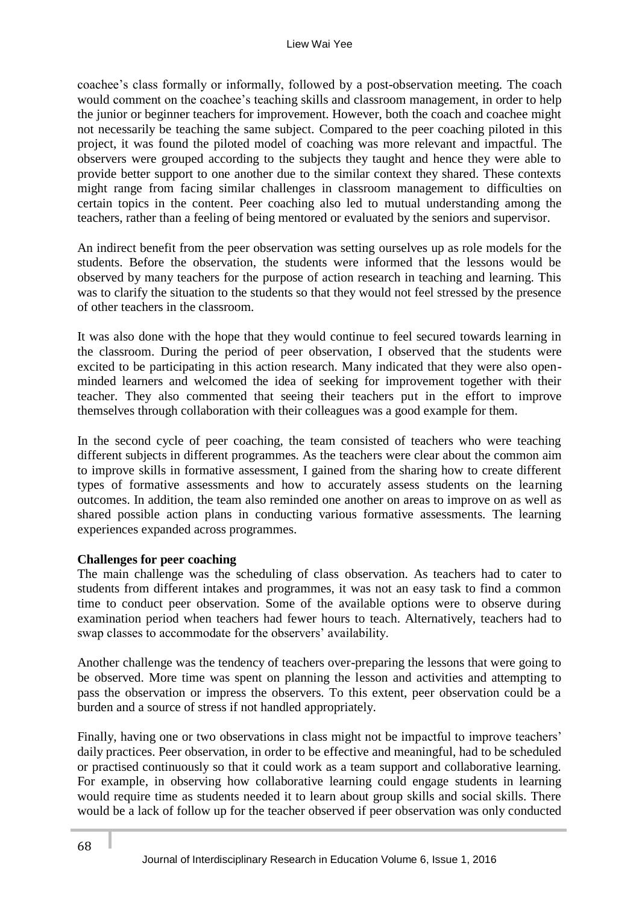coachee's class formally or informally, followed by a post-observation meeting. The coach would comment on the coachee's teaching skills and classroom management, in order to help the junior or beginner teachers for improvement. However, both the coach and coachee might not necessarily be teaching the same subject. Compared to the peer coaching piloted in this project, it was found the piloted model of coaching was more relevant and impactful. The observers were grouped according to the subjects they taught and hence they were able to provide better support to one another due to the similar context they shared. These contexts might range from facing similar challenges in classroom management to difficulties on certain topics in the content. Peer coaching also led to mutual understanding among the teachers, rather than a feeling of being mentored or evaluated by the seniors and supervisor.

An indirect benefit from the peer observation was setting ourselves up as role models for the students. Before the observation, the students were informed that the lessons would be observed by many teachers for the purpose of action research in teaching and learning. This was to clarify the situation to the students so that they would not feel stressed by the presence of other teachers in the classroom.

It was also done with the hope that they would continue to feel secured towards learning in the classroom. During the period of peer observation, I observed that the students were excited to be participating in this action research. Many indicated that they were also openminded learners and welcomed the idea of seeking for improvement together with their teacher. They also commented that seeing their teachers put in the effort to improve themselves through collaboration with their colleagues was a good example for them.

In the second cycle of peer coaching, the team consisted of teachers who were teaching different subjects in different programmes. As the teachers were clear about the common aim to improve skills in formative assessment, I gained from the sharing how to create different types of formative assessments and how to accurately assess students on the learning outcomes. In addition, the team also reminded one another on areas to improve on as well as shared possible action plans in conducting various formative assessments. The learning experiences expanded across programmes.

### **Challenges for peer coaching**

The main challenge was the scheduling of class observation. As teachers had to cater to students from different intakes and programmes, it was not an easy task to find a common time to conduct peer observation. Some of the available options were to observe during examination period when teachers had fewer hours to teach. Alternatively, teachers had to swap classes to accommodate for the observers' availability.

Another challenge was the tendency of teachers over-preparing the lessons that were going to be observed. More time was spent on planning the lesson and activities and attempting to pass the observation or impress the observers. To this extent, peer observation could be a burden and a source of stress if not handled appropriately.

Finally, having one or two observations in class might not be impactful to improve teachers' daily practices. Peer observation, in order to be effective and meaningful, had to be scheduled or practised continuously so that it could work as a team support and collaborative learning. For example, in observing how collaborative learning could engage students in learning would require time as students needed it to learn about group skills and social skills. There would be a lack of follow up for the teacher observed if peer observation was only conducted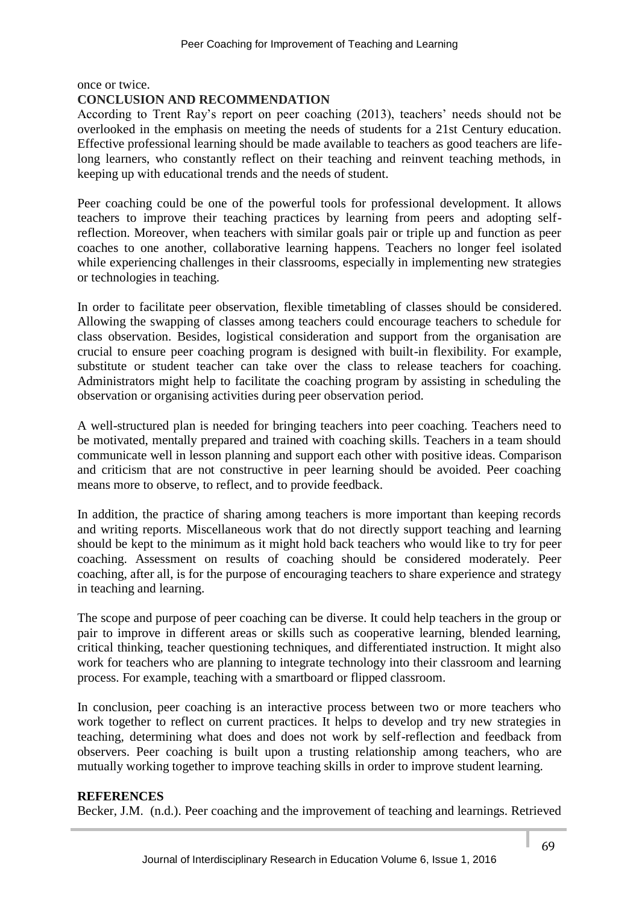once or twice.

### **CONCLUSION AND RECOMMENDATION**

According to Trent Ray's report on peer coaching (2013), teachers' needs should not be overlooked in the emphasis on meeting the needs of students for a 21st Century education. Effective professional learning should be made available to teachers as good teachers are lifelong learners, who constantly reflect on their teaching and reinvent teaching methods, in keeping up with educational trends and the needs of student.

Peer coaching could be one of the powerful tools for professional development. It allows teachers to improve their teaching practices by learning from peers and adopting selfreflection. Moreover, when teachers with similar goals pair or triple up and function as peer coaches to one another, collaborative learning happens. Teachers no longer feel isolated while experiencing challenges in their classrooms, especially in implementing new strategies or technologies in teaching.

In order to facilitate peer observation, flexible timetabling of classes should be considered. Allowing the swapping of classes among teachers could encourage teachers to schedule for class observation. Besides, logistical consideration and support from the organisation are crucial to ensure peer coaching program is designed with built-in flexibility. For example, substitute or student teacher can take over the class to release teachers for coaching. Administrators might help to facilitate the coaching program by assisting in scheduling the observation or organising activities during peer observation period.

A well-structured plan is needed for bringing teachers into peer coaching. Teachers need to be motivated, mentally prepared and trained with coaching skills. Teachers in a team should communicate well in lesson planning and support each other with positive ideas. Comparison and criticism that are not constructive in peer learning should be avoided. Peer coaching means more to observe, to reflect, and to provide feedback.

In addition, the practice of sharing among teachers is more important than keeping records and writing reports. Miscellaneous work that do not directly support teaching and learning should be kept to the minimum as it might hold back teachers who would like to try for peer coaching. Assessment on results of coaching should be considered moderately. Peer coaching, after all, is for the purpose of encouraging teachers to share experience and strategy in teaching and learning.

The scope and purpose of peer coaching can be diverse. It could help teachers in the group or pair to improve in different areas or skills such as cooperative learning, blended learning, critical thinking, teacher questioning techniques, and differentiated instruction. It might also work for teachers who are planning to integrate technology into their classroom and learning process. For example, teaching with a smartboard or flipped classroom.

In conclusion, peer coaching is an interactive process between two or more teachers who work together to reflect on current practices. It helps to develop and try new strategies in teaching, determining what does and does not work by self-reflection and feedback from observers. Peer coaching is built upon a trusting relationship among teachers, who are mutually working together to improve teaching skills in order to improve student learning.

### **REFERENCES**

Becker, J.M. (n.d.). Peer coaching and the improvement of teaching and learnings. Retrieved